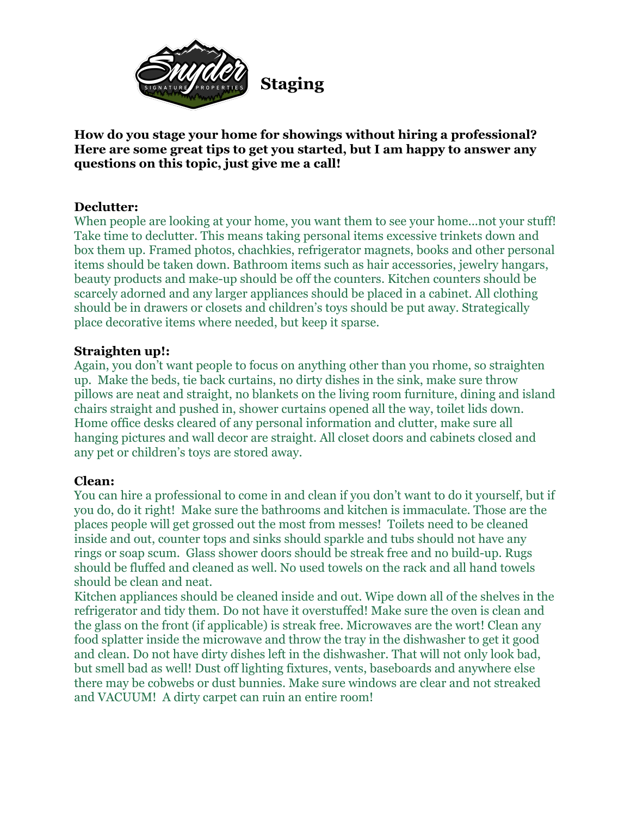

**How do you stage your home for showings without hiring a professional? Here are some great tips to get you started, but I am happy to answer any questions on this topic, just give me a call!** 

## **Declutter:**

When people are looking at your home, you want them to see your home...not your stuff! Take time to declutter. This means taking personal items excessive trinkets down and box them up. Framed photos, chachkies, refrigerator magnets, books and other personal items should be taken down. Bathroom items such as hair accessories, jewelry hangars, beauty products and make-up should be off the counters. Kitchen counters should be scarcely adorned and any larger appliances should be placed in a cabinet. All clothing should be in drawers or closets and children's toys should be put away. Strategically place decorative items where needed, but keep it sparse.

## **Straighten up!:**

Again, you don't want people to focus on anything other than you rhome, so straighten up. Make the beds, tie back curtains, no dirty dishes in the sink, make sure throw pillows are neat and straight, no blankets on the living room furniture, dining and island chairs straight and pushed in, shower curtains opened all the way, toilet lids down. Home office desks cleared of any personal information and clutter, make sure all hanging pictures and wall decor are straight. All closet doors and cabinets closed and any pet or children's toys are stored away.

## **Clean:**

You can hire a professional to come in and clean if you don't want to do it yourself, but if you do, do it right! Make sure the bathrooms and kitchen is immaculate. Those are the places people will get grossed out the most from messes! Toilets need to be cleaned inside and out, counter tops and sinks should sparkle and tubs should not have any rings or soap scum. Glass shower doors should be streak free and no build-up. Rugs should be fluffed and cleaned as well. No used towels on the rack and all hand towels should be clean and neat.

Kitchen appliances should be cleaned inside and out. Wipe down all of the shelves in the refrigerator and tidy them. Do not have it overstuffed! Make sure the oven is clean and the glass on the front (if applicable) is streak free. Microwaves are the wort! Clean any food splatter inside the microwave and throw the tray in the dishwasher to get it good and clean. Do not have dirty dishes left in the dishwasher. That will not only look bad, but smell bad as well! Dust off lighting fixtures, vents, baseboards and anywhere else there may be cobwebs or dust bunnies. Make sure windows are clear and not streaked and VACUUM! A dirty carpet can ruin an entire room!